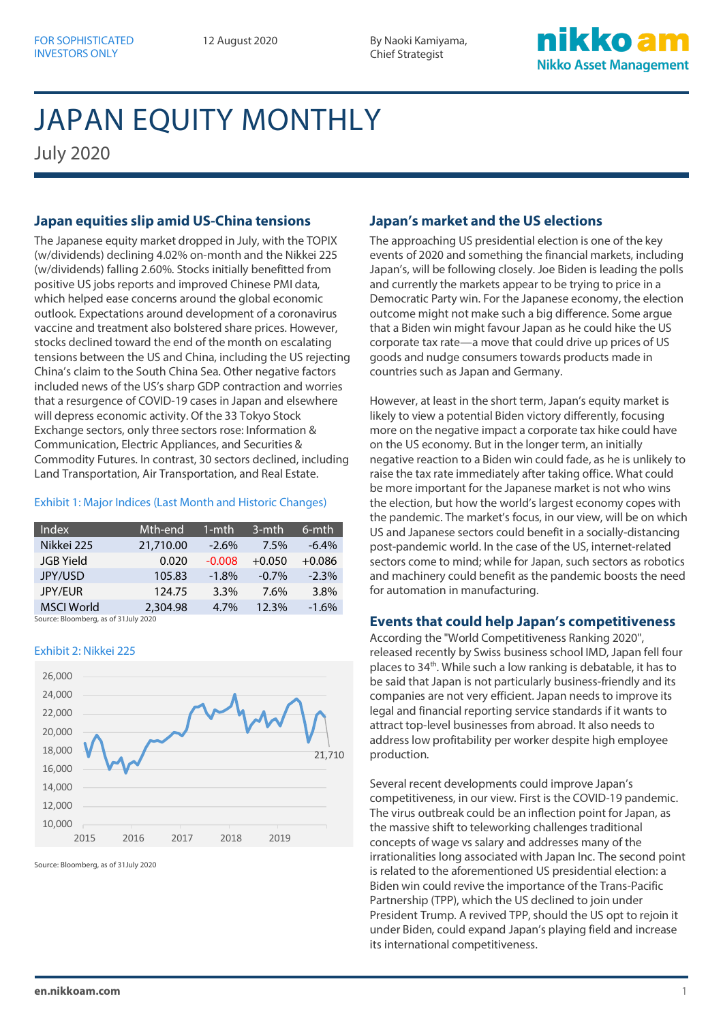12 August 2020 By Naoki Kamiyama, Chief Strategist

### ikko a **Nikko Asset Management**

# JAPAN EQUITY MONTHLY

July 2020

### **Japan equities slip amid US-China tensions**

The Japanese equity market dropped in July, with the TOPIX (w/dividends) declining 4.02% on-month and the Nikkei 225 (w/dividends) falling 2.60%. Stocks initially benefitted from positive US jobs reports and improved Chinese PMI data, which helped ease concerns around the global economic outlook. Expectations around development of a coronavirus vaccine and treatment also bolstered share prices. However, stocks declined toward the end of the month on escalating tensions between the US and China, including the US rejecting China's claim to the South China Sea. Other negative factors included news of the US's sharp GDP contraction and worries that a resurgence of COVID-19 cases in Japan and elsewhere will depress economic activity. Of the 33 Tokyo Stock Exchange sectors, only three sectors rose: Information & Communication, Electric Appliances, and Securities & Commodity Futures. In contrast, 30 sectors declined, including Land Transportation, Air Transportation, and Real Estate.

### Exhibit 1: Major Indices (Last Month and Historic Changes)

| Index             | Mth-end'  | 1-mth    | 3-mth    | 6-mth    |
|-------------------|-----------|----------|----------|----------|
| Nikkei 225        | 21,710.00 | $-2.6%$  | 7.5%     | $-6.4\%$ |
| <b>JGB</b> Yield  | 0.020     | $-0.008$ | $+0.050$ | $+0.086$ |
| JPY/USD           | 105.83    | $-1.8%$  | $-0.7\%$ | $-2.3%$  |
| <b>JPY/EUR</b>    | 124.75    | 3.3%     | 7.6%     | 3.8%     |
| <b>MSCI World</b> | 2,304.98  | 4.7%     | 12.3%    | $-1.6%$  |

Source: Bloomberg, as of 31July 2020

#### Exhibit 2: Nikkei 225



Source: Bloomberg, as of 31July 2020

### **Japan's market and the US elections**

The approaching US presidential election is one of the key events of 2020 and something the financial markets, including Japan's, will be following closely. Joe Biden is leading the polls and currently the markets appear to be trying to price in a Democratic Party win. For the Japanese economy, the election outcome might not make such a big difference. Some argue that a Biden win might favour Japan as he could hike the US corporate tax rate—a move that could drive up prices of US goods and nudge consumers towards products made in countries such as Japan and Germany.

However, at least in the short term, Japan's equity market is likely to view a potential Biden victory differently, focusing more on the negative impact a corporate tax hike could have on the US economy. But in the longer term, an initially negative reaction to a Biden win could fade, as he is unlikely to raise the tax rate immediately after taking office. What could be more important for the Japanese market is not who wins the election, but how the world's largest economy copes with the pandemic. The market's focus, in our view, will be on which US and Japanese sectors could benefit in a socially-distancing post-pandemic world. In the case of the US, internet-related sectors come to mind; while for Japan, such sectors as robotics and machinery could benefit as the pandemic boosts the need for automation in manufacturing.

### **Events that could help Japan's competitiveness**

According the "World Competitiveness Ranking 2020", released recently by Swiss business school IMD, Japan fell four places to 34<sup>th</sup>. While such a low ranking is debatable, it has to be said that Japan is not particularly business-friendly and its companies are not very efficient. Japan needs to improve its legal and financial reporting service standards if it wants to attract top-level businesses from abroad. It also needs to address low profitability per worker despite high employee production.

Several recent developments could improve Japan's competitiveness, in our view. First is the COVID-19 pandemic. The virus outbreak could be an inflection point for Japan, as the massive shift to teleworking challenges traditional concepts of wage vs salary and addresses many of the irrationalities long associated with Japan Inc. The second point is related to the aforementioned US presidential election: a Biden win could revive the importance of the Trans-Pacific Partnership (TPP), which the US declined to join under President Trump. A revived TPP, should the US opt to rejoin it under Biden, could expand Japan's playing field and increase its international competitiveness.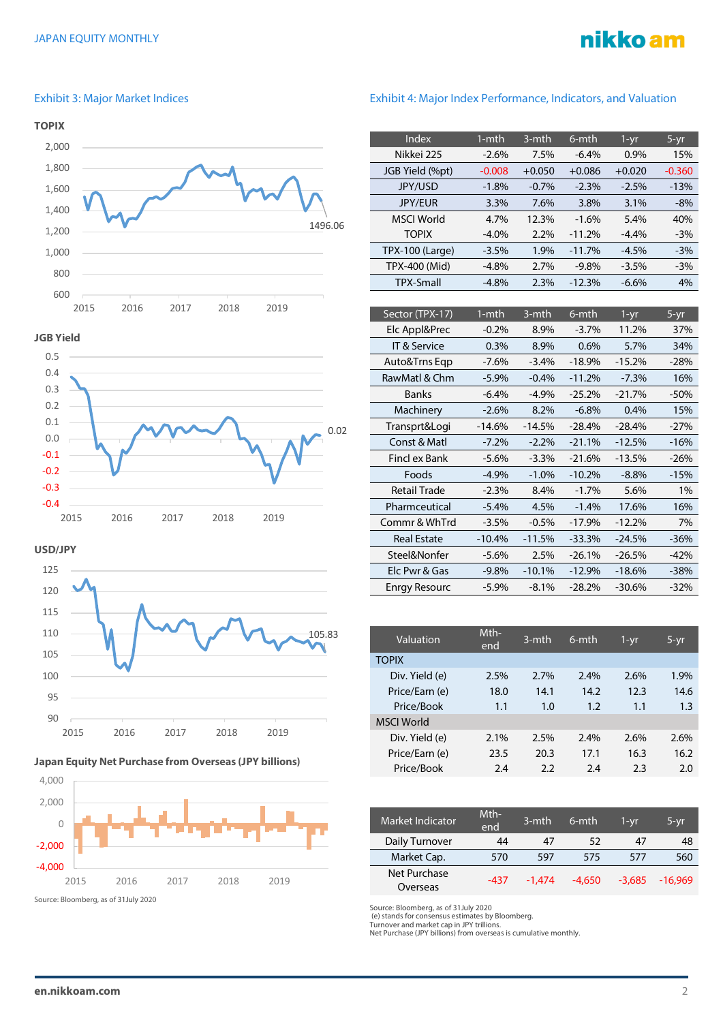# nikko am

#### Exhibit 3: Major Market Indices



#### **JGB Yield**



**USD/JPY**







### Exhibit 4: Major Index Performance, Indicators, and Valuation

| Index                  | $1 - mth$ | 3-mth    | 6-mth    | $1 - yr$ | $5 - yr$ |
|------------------------|-----------|----------|----------|----------|----------|
| Nikkei 225             | $-2.6%$   | 7.5%     | $-6.4%$  | 0.9%     | 15%      |
| JGB Yield (%pt)        | $-0.008$  | $+0.050$ | $+0.086$ | $+0.020$ | $-0.360$ |
| <b>JPY/USD</b>         | $-1.8%$   | $-0.7%$  | $-2.3%$  | $-2.5%$  | $-13%$   |
| <b>JPY/EUR</b>         | 3.3%      | 7.6%     | 3.8%     | 3.1%     | $-8%$    |
| <b>MSCI World</b>      | 4.7%      | 12.3%    | $-1.6%$  | 5.4%     | 40%      |
| <b>TOPIX</b>           | $-4.0\%$  | 2.2%     | $-11.2%$ | $-4.4%$  | $-3\%$   |
| <b>TPX-100 (Large)</b> | $-3.5%$   | 1.9%     | $-11.7%$ | $-4.5%$  | $-3%$    |
| TPX-400 (Mid)          | $-4.8%$   | 2.7%     | $-9.8%$  | $-3.5%$  | $-3%$    |
| <b>TPX-Small</b>       | $-4.8%$   | 2.3%     | $-12.3%$ | $-6.6%$  | 4%       |
|                        |           |          |          |          |          |

| Sector (TPX-17)      | 1-mth    | 3-mth    | 6-mth    | 1-yr     | 5-yr   |
|----------------------|----------|----------|----------|----------|--------|
| Elc Appl&Prec        | $-0.2%$  | 8.9%     | $-3.7\%$ | 11.2%    | 37%    |
| IT & Service         | $0.3\%$  | 8.9%     | 0.6%     | 5.7%     | 34%    |
| Auto&Trns Eqp        | $-7.6%$  | $-3.4%$  | $-18.9%$ | $-15.2%$ | $-28%$ |
| RawMatl & Chm        | $-5.9%$  | $-0.4%$  | $-11.2%$ | $-7.3%$  | 16%    |
| <b>Banks</b>         | $-6.4\%$ | $-4.9\%$ | $-25.2%$ | $-21.7%$ | -50%   |
| Machinery            | $-2.6%$  | 8.2%     | $-6.8%$  | 0.4%     | 15%    |
| Transprt&Logi        | $-14.6%$ | $-14.5%$ | $-28.4%$ | $-28.4%$ | $-27%$ |
| Const & Matl         | $-7.2\%$ | $-2.2\%$ | $-21.1%$ | $-12.5%$ | $-16%$ |
| Fincl ex Bank        | $-5.6\%$ | $-3.3\%$ | $-21.6%$ | $-13.5%$ | $-26%$ |
| Foods                | $-4.9%$  | $-1.0%$  | $-10.2%$ | $-8.8%$  | $-15%$ |
| <b>Retail Trade</b>  | $-2.3%$  | 8.4%     | $-1.7%$  | 5.6%     | 1%     |
| Pharmceutical        | $-5.4%$  | 4.5%     | $-1.4%$  | 17.6%    | 16%    |
| Commr & WhTrd        | $-3.5%$  | $-0.5%$  | $-17.9%$ | $-12.2%$ | 7%     |
| <b>Real Estate</b>   | $-10.4%$ | $-11.5%$ | $-33.3%$ | $-24.5%$ | $-36%$ |
| Steel&Nonfer         | $-5.6%$  | 2.5%     | $-26.1%$ | $-26.5%$ | $-42%$ |
| Elc Pwr & Gas        | $-9.8%$  | $-10.1%$ | $-12.9%$ | $-18.6%$ | $-38%$ |
| <b>Enrgy Resourc</b> | $-5.9\%$ | $-8.1\%$ | $-28.2%$ | $-30.6%$ | $-32%$ |

| Valuation         | Mth-<br>end | 3-mth | 6-mth | 1-yr | 5-yr |
|-------------------|-------------|-------|-------|------|------|
| <b>TOPIX</b>      |             |       |       |      |      |
| Div. Yield (e)    | 2.5%        | 2.7%  | 2.4%  | 2.6% | 1.9% |
| Price/Earn (e)    | 18.0        | 14.1  | 14.2  | 12.3 | 14.6 |
| Price/Book        | 1.1         | 1.0   | 1.2   | 1.1  | 1.3  |
| <b>MSCI World</b> |             |       |       |      |      |
| Div. Yield (e)    | 2.1%        | 2.5%  | 2.4%  | 2.6% | 2.6% |
| Price/Earn (e)    | 23.5        | 20.3  | 17.1  | 16.3 | 16.2 |
| Price/Book        | 2.4         | 2.2   | 2.4   | 2.3  | 2.0  |

| Market Indicator         | Mth-<br>end | $3$ -mth | 6-mth    | 1-vr     | 5-yr      |
|--------------------------|-------------|----------|----------|----------|-----------|
| Daily Turnover           | 44          | 47       | 52       | 47       | 48        |
| Market Cap.              | 570         | 597      | 575      | 577      | 560       |
| Net Purchase<br>Overseas | $-437$      | $-1.474$ | $-4.650$ | $-3.685$ | $-16.969$ |

Source: Bloomberg, as of 31July 2020 (e) stands for consensus estimates by Bloomberg. Turnover and market cap in JPY trillions. Net Purchase (JPY billions) from overseas is cumulative monthly.